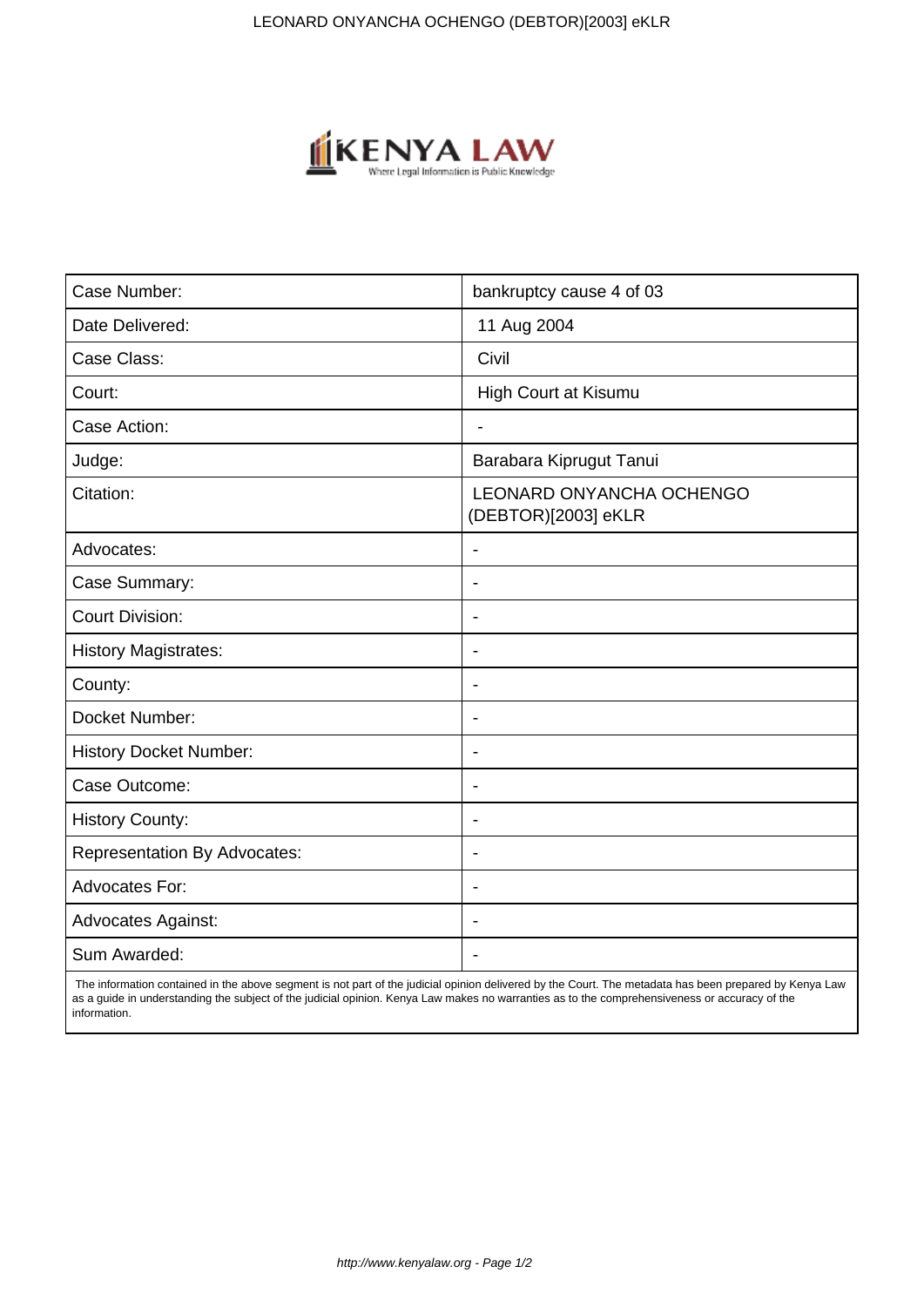

| Case Number:                        | bankruptcy cause 4 of 03                        |
|-------------------------------------|-------------------------------------------------|
| Date Delivered:                     | 11 Aug 2004                                     |
| Case Class:                         | Civil                                           |
| Court:                              | <b>High Court at Kisumu</b>                     |
| Case Action:                        |                                                 |
| Judge:                              | Barabara Kiprugut Tanui                         |
| Citation:                           | LEONARD ONYANCHA OCHENGO<br>(DEBTOR)[2003] eKLR |
| Advocates:                          | $\overline{\phantom{a}}$                        |
| Case Summary:                       | $\blacksquare$                                  |
| <b>Court Division:</b>              | $\overline{\phantom{0}}$                        |
| <b>History Magistrates:</b>         | $\overline{\phantom{a}}$                        |
| County:                             | $\overline{\phantom{a}}$                        |
| Docket Number:                      | $\overline{\phantom{a}}$                        |
| <b>History Docket Number:</b>       | $\blacksquare$                                  |
| Case Outcome:                       | $\overline{\phantom{a}}$                        |
| <b>History County:</b>              | $\overline{\phantom{a}}$                        |
| <b>Representation By Advocates:</b> | $\blacksquare$                                  |
| <b>Advocates For:</b>               | $\overline{\phantom{a}}$                        |
| <b>Advocates Against:</b>           | $\blacksquare$                                  |
| Sum Awarded:                        |                                                 |

 The information contained in the above segment is not part of the judicial opinion delivered by the Court. The metadata has been prepared by Kenya Law as a guide in understanding the subject of the judicial opinion. Kenya Law makes no warranties as to the comprehensiveness or accuracy of the information.